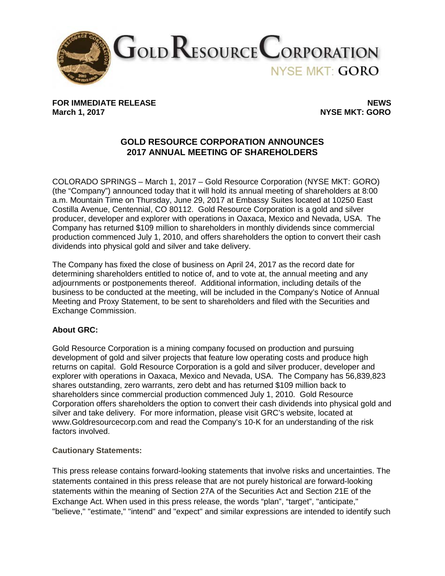

FOR IMMEDIATE RELEASE **NEWS**<br>March 1, 2017 **News** 

**NYSE MKT: GORO** 

## **GOLD RESOURCE CORPORATION ANNOUNCES 2017 ANNUAL MEETING OF SHAREHOLDERS**

COLORADO SPRINGS – March 1, 2017 – Gold Resource Corporation (NYSE MKT: GORO) (the "Company") announced today that it will hold its annual meeting of shareholders at 8:00 a.m. Mountain Time on Thursday, June 29, 2017 at Embassy Suites located at 10250 East Costilla Avenue, Centennial, CO 80112. Gold Resource Corporation is a gold and silver producer, developer and explorer with operations in Oaxaca, Mexico and Nevada, USA. The Company has returned \$109 million to shareholders in monthly dividends since commercial production commenced July 1, 2010, and offers shareholders the option to convert their cash dividends into physical gold and silver and take delivery.

The Company has fixed the close of business on April 24, 2017 as the record date for determining shareholders entitled to notice of, and to vote at, the annual meeting and any adjournments or postponements thereof. Additional information, including details of the business to be conducted at the meeting, will be included in the Company's Notice of Annual Meeting and Proxy Statement, to be sent to shareholders and filed with the Securities and Exchange Commission.

## **About GRC:**

Gold Resource Corporation is a mining company focused on production and pursuing development of gold and silver projects that feature low operating costs and produce high returns on capital. Gold Resource Corporation is a gold and silver producer, developer and explorer with operations in Oaxaca, Mexico and Nevada, USA. The Company has 56,839,823 shares outstanding, zero warrants, zero debt and has returned \$109 million back to shareholders since commercial production commenced July 1, 2010. Gold Resource Corporation offers shareholders the option to convert their cash dividends into physical gold and silver and take delivery. For more information, please visit GRC's website, located at www.Goldresourcecorp.com and read the Company's 10-K for an understanding of the risk factors involved.

## **Cautionary Statements:**

This press release contains forward-looking statements that involve risks and uncertainties. The statements contained in this press release that are not purely historical are forward-looking statements within the meaning of Section 27A of the Securities Act and Section 21E of the Exchange Act. When used in this press release, the words "plan", "target", "anticipate," "believe," "estimate," "intend" and "expect" and similar expressions are intended to identify such